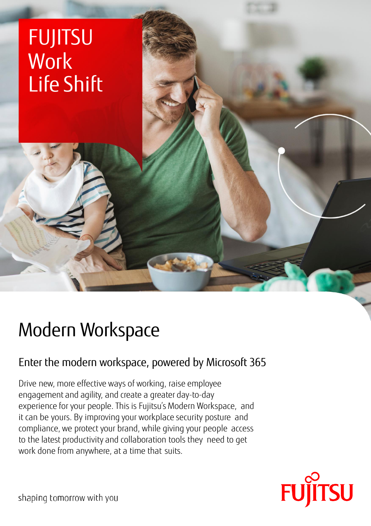# FUJITSU **Work** Life Shift

# Modern Workspace

## Enter the modern workspace, powered by Microsoft 365

Drive new, more effective ways of working, raise employee engagement and agility, and create a greater day-to-day experience for your people. This is Fujitsu's Modern Workspace, and it can be yours. By improving your workplace security posture and compliance, we protect your brand, while giving your people access to the latest productivity and collaboration tools they need to get work done from anywhere, at a time that suits.



shaping tomorrow with you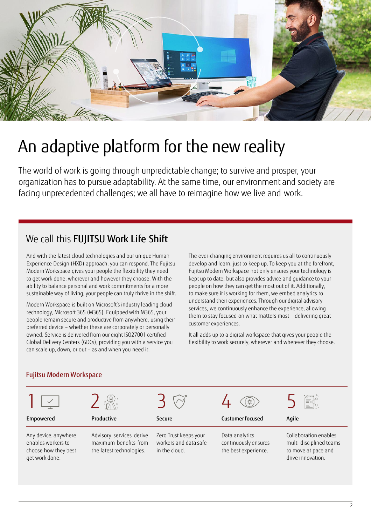

# An adaptive platform for the new reality

The world of work is going through unpredictable change; to survive and prosper, your organization has to pursue adaptability. At the same time, our environment and society are facing unprecedented challenges; we all have to reimagine how we live and work.

## We call this FUJITSU Work Life Shift

And with the latest cloud technologies and our unique Human Experience Design (HXD) approach, you can respond. The Fujitsu Modern Workspace gives your people the flexibility they need to get work done, wherever and however they choose. With the ability to balance personal and work commitments for a more sustainable way of living, your people can truly thrive in the shift.

Modern Workspace is built on Microsoft's industry leading cloud technology, Microsoft 365 (M365). Equipped with M365, your people remain secure and productive from anywhere, using their preferred device – whether these are corporately or personally owned. Service is delivered from our eight ISO27001 certified Global Delivery Centers (GDCs), providing you with a service you can scale up, down, or out – as and when you need it.

The ever-changing environment requires us all to continuously develop and learn, just to keep up. To keep you at the forefront, Fujitsu Modern Workspace not only ensures your technology is kept up to date, but also provides advice and guidance to your people on how they can get the most out of it. Additionally, to make sure it is working for them, we embed analytics to understand their experiences. Through our digital advisory services, we continuously enhance the experience, allowing them to stay focused on what matters most – delivering great customer experiences.

It all adds up to a digital workspace that gives your people the flexibility to work securely, wherever and wherever they choose.

#### Fujitsu Modern Workspace

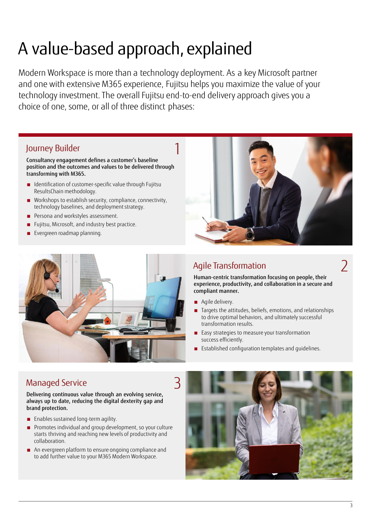# A value-based approach, explained

Modern Workspace is more than a technology deployment. As a key Microsoft partner and one with extensive M365 experience, Fujitsu helps you maximize the value of your technology investment. The overall Fujitsu end-to-end delivery approach gives you a choice of one, some, or all of three distinct phases:

### Journey Builder 1

Consultancy engagement defines a customer's baseline position and the outcomes and values to be delivered through transforming with M365.

- Identification of customer-specific value through Fujitsu ResultsChain methodology.
- Workshops to establish security, compliance, connectivity, technology baselines, and deployment strategy.
- Persona and workstyles assessment.
- Fujitsu, Microsoft, and industry best practice.
- Evergreen roadmap planning.



## Agile Transformation

Human-centric transformation focusing on people, their experience, productivity, and collaboration in a secure and compliant manner.

- Agile delivery.
- Targets the attitudes, beliefs, emotions, and relationships to drive optimal behaviors, and ultimately successful transformation results.
- Easy strategies to measure your transformation success efficiently.
- Established configuration templates and quidelines.

### Managed Service

Delivering continuous value through an evolving service, always up to date, reducing the digital dexterity gap and brand protection.

- Enables sustained long-term agility.
- Promotes individual and group development, so your culture starts thriving and reaching new levels of productivity and collaboration.
- An evergreen platform to ensure ongoing compliance and to add further value to your M365 Modern Workspace.



2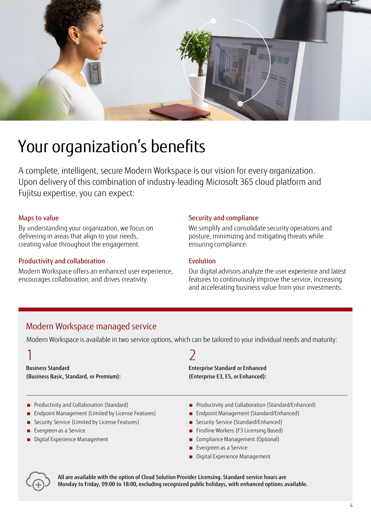

## Your organization's benefits

A complete, intelligent, secure Modern Workspace is our vision for every organization. Upon delivery of this combination of industry-leading Microsoft 365 cloud platform and Fujitsu expertise, you can expect:

#### Maps to value

By understanding your organization, we focus on delivering in areas that align to your needs, creating value throughout the engagement.

#### Productivity and collaboration

Modern Workspace offers an enhanced user experience, encourages collaboration, and drives creativity.

#### Security and compliance

We simplify and consolidate security operations and posture, minimizing and mitigating threats while ensuring compliance.

#### Evolution

Our digital advisors analyze the user experience and latest features to continuously improve the service, increasing and accelerating business value from your investments.

### Modern Workspace managed service

Modern Workspace is available in two service options, which can be tailored to your individual needs and maturity:

| <b>Business Standard</b>                                                                                                                                                                                                   | <b>Enterprise Standard or Enhanced</b>                                                                                                                                                                                                                                         |
|----------------------------------------------------------------------------------------------------------------------------------------------------------------------------------------------------------------------------|--------------------------------------------------------------------------------------------------------------------------------------------------------------------------------------------------------------------------------------------------------------------------------|
| (Business Basic, Standard, or Premium):                                                                                                                                                                                    | (Enterprise E3, E5, or Enhanced):                                                                                                                                                                                                                                              |
| Productivity and Collaboration (Standard)<br>Endpoint Management (Limited by License Features)<br>Security Service (Limited by License Features)<br>$\blacksquare$ Evergreen as a Service<br>Digital Experience Management | Productivity and Collaboration (Standard/Enhanced)<br>Endpoint Management (Standard/Enhanced)<br>Security Service (Standard/Enhanced)<br>Firstline Workers (F3 Licensing Based)<br>Compliance Management (Optional)<br>Evergreen as a Service<br>Digital Experience Management |

All are available with the option of Cloud Solution Provider Licensing. Standard service hours are Monday to Friday, 09:00 to 18:00, excluding recognized public holidays, with enhanced options available.